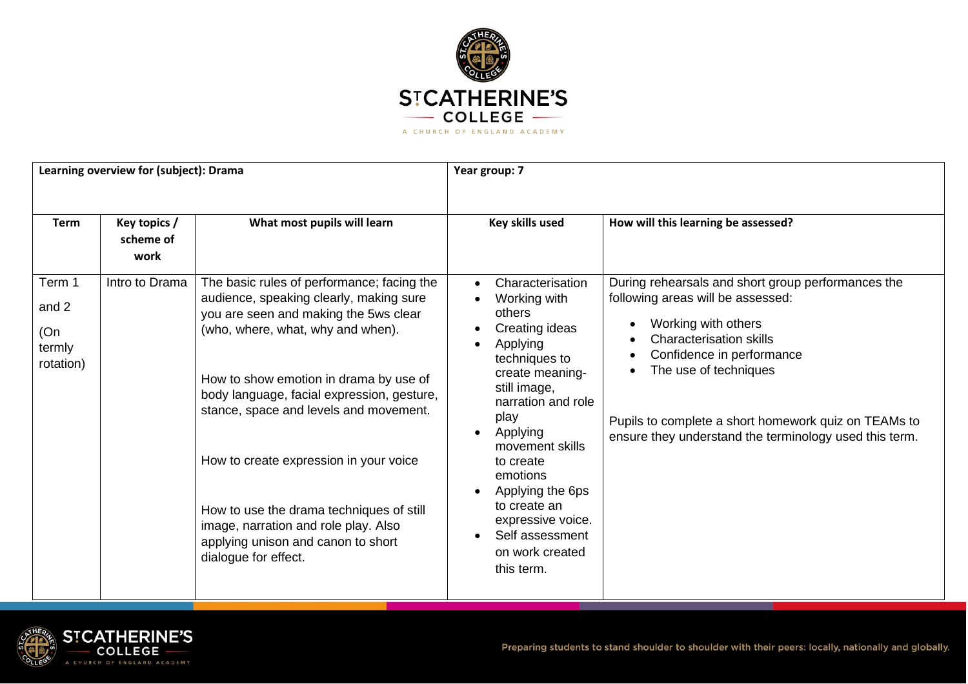

| Learning overview for (subject): Drama        |                                   |                                                                                                                                                                                                                                                                                                                                                                                                                                                                                                   | Year group: 7                                                                                                                                                                                                                                                                                                                   |                                                                                                                                                                                                                                                                                                                          |  |
|-----------------------------------------------|-----------------------------------|---------------------------------------------------------------------------------------------------------------------------------------------------------------------------------------------------------------------------------------------------------------------------------------------------------------------------------------------------------------------------------------------------------------------------------------------------------------------------------------------------|---------------------------------------------------------------------------------------------------------------------------------------------------------------------------------------------------------------------------------------------------------------------------------------------------------------------------------|--------------------------------------------------------------------------------------------------------------------------------------------------------------------------------------------------------------------------------------------------------------------------------------------------------------------------|--|
| <b>Term</b>                                   | Key topics /<br>scheme of<br>work | What most pupils will learn                                                                                                                                                                                                                                                                                                                                                                                                                                                                       | Key skills used                                                                                                                                                                                                                                                                                                                 | How will this learning be assessed?                                                                                                                                                                                                                                                                                      |  |
| Term 1<br>and 2<br>(On<br>termly<br>rotation) | Intro to Drama                    | The basic rules of performance; facing the<br>audience, speaking clearly, making sure<br>you are seen and making the 5ws clear<br>(who, where, what, why and when).<br>How to show emotion in drama by use of<br>body language, facial expression, gesture,<br>stance, space and levels and movement.<br>How to create expression in your voice<br>How to use the drama techniques of still<br>image, narration and role play. Also<br>applying unison and canon to short<br>dialogue for effect. | Characterisation<br>Working with<br>others<br>Creating ideas<br>Applying<br>techniques to<br>create meaning-<br>still image,<br>narration and role<br>play<br>Applying<br>movement skills<br>to create<br>emotions<br>Applying the 6ps<br>to create an<br>expressive voice.<br>Self assessment<br>on work created<br>this term. | During rehearsals and short group performances the<br>following areas will be assessed:<br>Working with others<br><b>Characterisation skills</b><br>Confidence in performance<br>The use of techniques<br>Pupils to complete a short homework quiz on TEAMs to<br>ensure they understand the terminology used this term. |  |

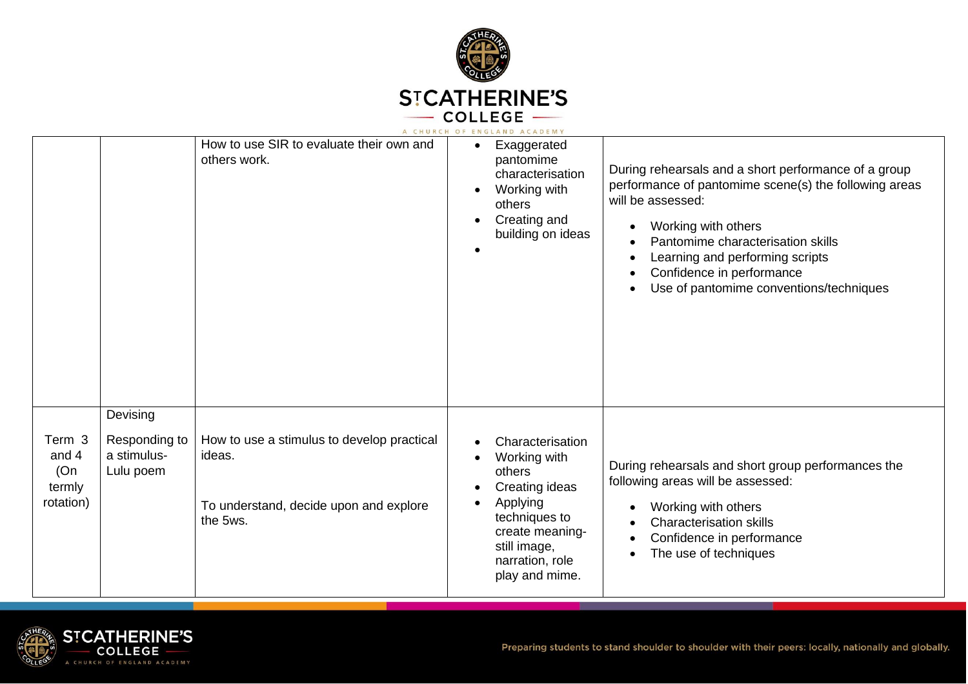

|                                               |                                                       | How to use SIR to evaluate their own and<br>others work.                                                   | Exaggerated<br>$\bullet$<br>pantomime<br>characterisation<br>Working with<br>$\bullet$<br>others<br>Creating and<br>building on ideas                                                       | During rehearsals and a short performance of a group<br>performance of pantomime scene(s) the following areas<br>will be assessed:<br>Working with others<br>Pantomime characterisation skills<br>Learning and performing scripts<br>Confidence in performance<br>Use of pantomime conventions/techniques |
|-----------------------------------------------|-------------------------------------------------------|------------------------------------------------------------------------------------------------------------|---------------------------------------------------------------------------------------------------------------------------------------------------------------------------------------------|-----------------------------------------------------------------------------------------------------------------------------------------------------------------------------------------------------------------------------------------------------------------------------------------------------------|
| Term 3<br>and 4<br>(On<br>termly<br>rotation) | Devising<br>Responding to<br>a stimulus-<br>Lulu poem | How to use a stimulus to develop practical<br>ideas.<br>To understand, decide upon and explore<br>the 5ws. | Characterisation<br>Working with<br>$\bullet$<br>others<br>Creating ideas<br>Applying<br>$\bullet$<br>techniques to<br>create meaning-<br>still image,<br>narration, role<br>play and mime. | During rehearsals and short group performances the<br>following areas will be assessed:<br>Working with others<br><b>Characterisation skills</b><br>Confidence in performance<br>The use of techniques                                                                                                    |

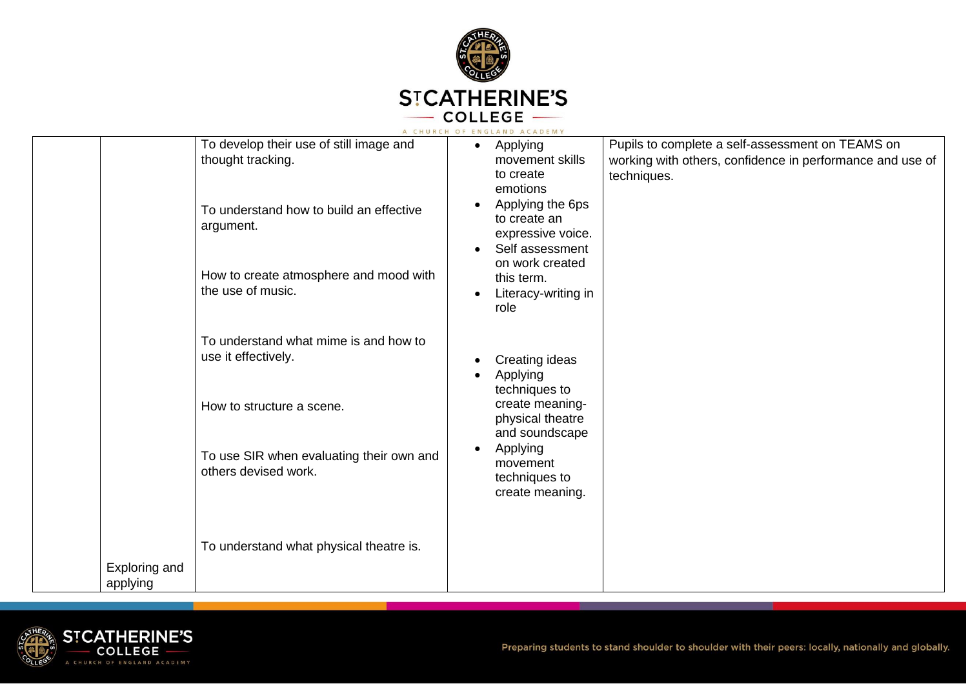

|                           |                                                                                                                                                                                     | A CHURCH OF ENGLAND ACADEMY                                                                                                                                                                                                |                                                                                                                              |
|---------------------------|-------------------------------------------------------------------------------------------------------------------------------------------------------------------------------------|----------------------------------------------------------------------------------------------------------------------------------------------------------------------------------------------------------------------------|------------------------------------------------------------------------------------------------------------------------------|
|                           | To develop their use of still image and<br>thought tracking.<br>To understand how to build an effective<br>argument.<br>How to create atmosphere and mood with<br>the use of music. | Applying<br>$\bullet$<br>movement skills<br>to create<br>emotions<br>Applying the 6ps<br>to create an<br>expressive voice.<br>Self assessment<br>on work created<br>this term.<br>Literacy-writing in<br>$\bullet$<br>role | Pupils to complete a self-assessment on TEAMS on<br>working with others, confidence in performance and use of<br>techniques. |
|                           | To understand what mime is and how to<br>use it effectively.<br>How to structure a scene.<br>To use SIR when evaluating their own and<br>others devised work.                       | Creating ideas<br>Applying<br>techniques to<br>create meaning-<br>physical theatre<br>and soundscape<br>Applying<br>$\bullet$<br>movement<br>techniques to<br>create meaning.                                              |                                                                                                                              |
| Exploring and<br>applying | To understand what physical theatre is.                                                                                                                                             |                                                                                                                                                                                                                            |                                                                                                                              |

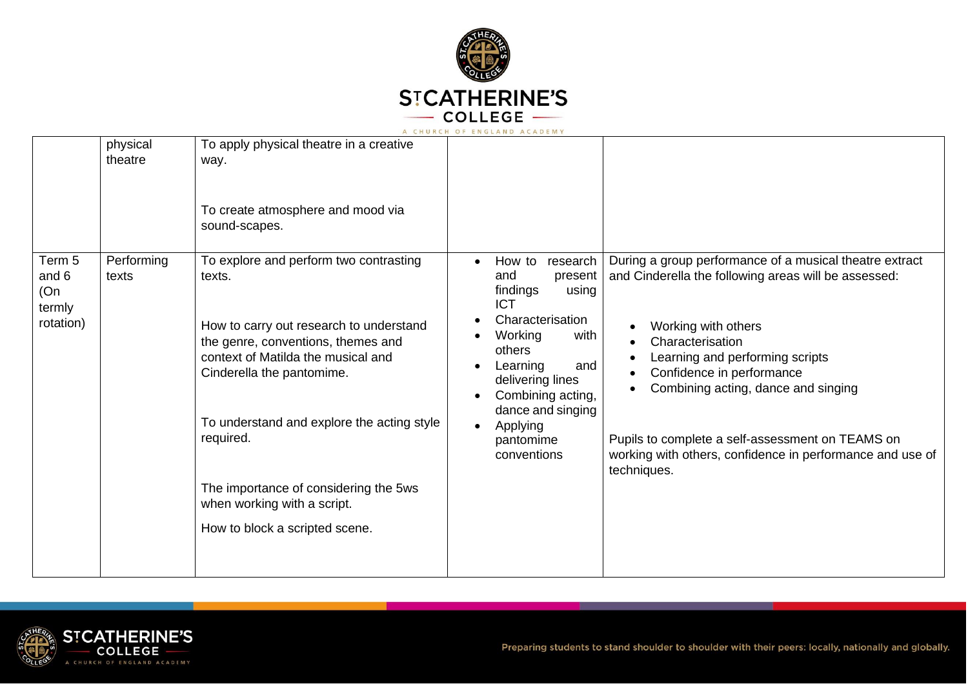

| physical<br>theatre                                                  | To apply physical theatre in a creative<br>way.<br>To create atmosphere and mood via<br>sound-scapes.                                                                                                                                                                                                                                                                     |                                                                                                                                                                                                                                                                                          |                                                                                                                                                                                                                                                                                                                                                                                                   |
|----------------------------------------------------------------------|---------------------------------------------------------------------------------------------------------------------------------------------------------------------------------------------------------------------------------------------------------------------------------------------------------------------------------------------------------------------------|------------------------------------------------------------------------------------------------------------------------------------------------------------------------------------------------------------------------------------------------------------------------------------------|---------------------------------------------------------------------------------------------------------------------------------------------------------------------------------------------------------------------------------------------------------------------------------------------------------------------------------------------------------------------------------------------------|
| Performing<br>Term 5<br>and 6<br>texts<br>(On<br>termly<br>rotation) | To explore and perform two contrasting<br>texts.<br>How to carry out research to understand<br>the genre, conventions, themes and<br>context of Matilda the musical and<br>Cinderella the pantomime.<br>To understand and explore the acting style<br>required.<br>The importance of considering the 5ws<br>when working with a script.<br>How to block a scripted scene. | How to<br>research<br>$\bullet$<br>and<br>present<br>findings<br>using<br><b>ICT</b><br>Characterisation<br>with<br>Working<br>others<br>and<br>Learning<br>delivering lines<br>Combining acting,<br>$\bullet$<br>dance and singing<br>Applying<br>$\bullet$<br>pantomime<br>conventions | During a group performance of a musical theatre extract<br>and Cinderella the following areas will be assessed:<br>Working with others<br>Characterisation<br>Learning and performing scripts<br>Confidence in performance<br>Combining acting, dance and singing<br>Pupils to complete a self-assessment on TEAMS on<br>working with others, confidence in performance and use of<br>techniques. |

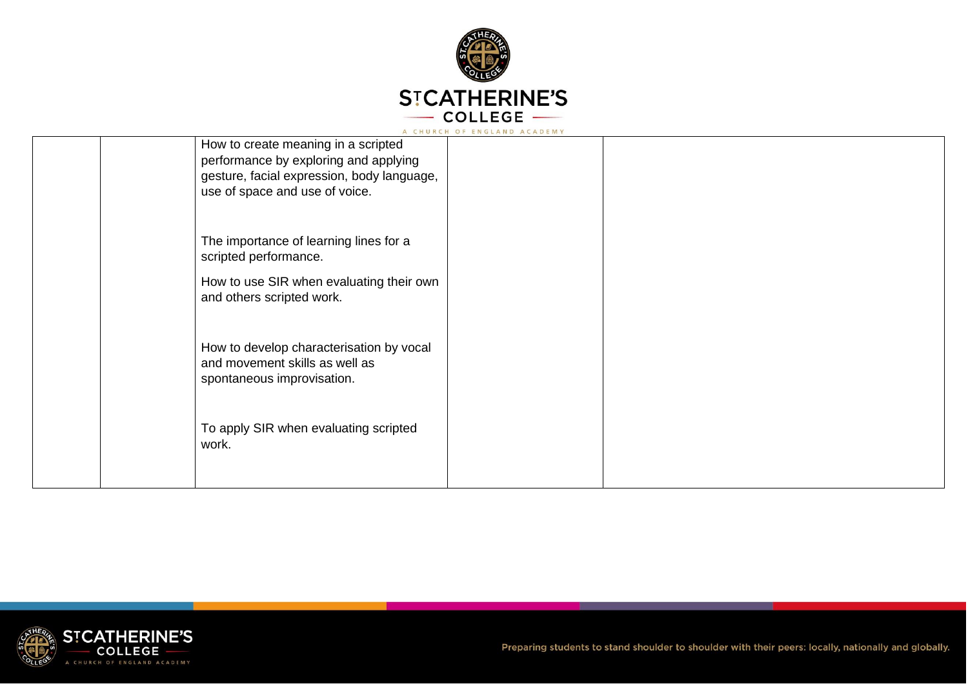

|                                                                                                                                                              | A CHURCH OF ENGLAND ACADEMY |  |
|--------------------------------------------------------------------------------------------------------------------------------------------------------------|-----------------------------|--|
| How to create meaning in a scripted<br>performance by exploring and applying<br>gesture, facial expression, body language,<br>use of space and use of voice. |                             |  |
| The importance of learning lines for a<br>scripted performance.                                                                                              |                             |  |
| How to use SIR when evaluating their own<br>and others scripted work.                                                                                        |                             |  |
| How to develop characterisation by vocal<br>and movement skills as well as<br>spontaneous improvisation.                                                     |                             |  |
| To apply SIR when evaluating scripted<br>work.                                                                                                               |                             |  |

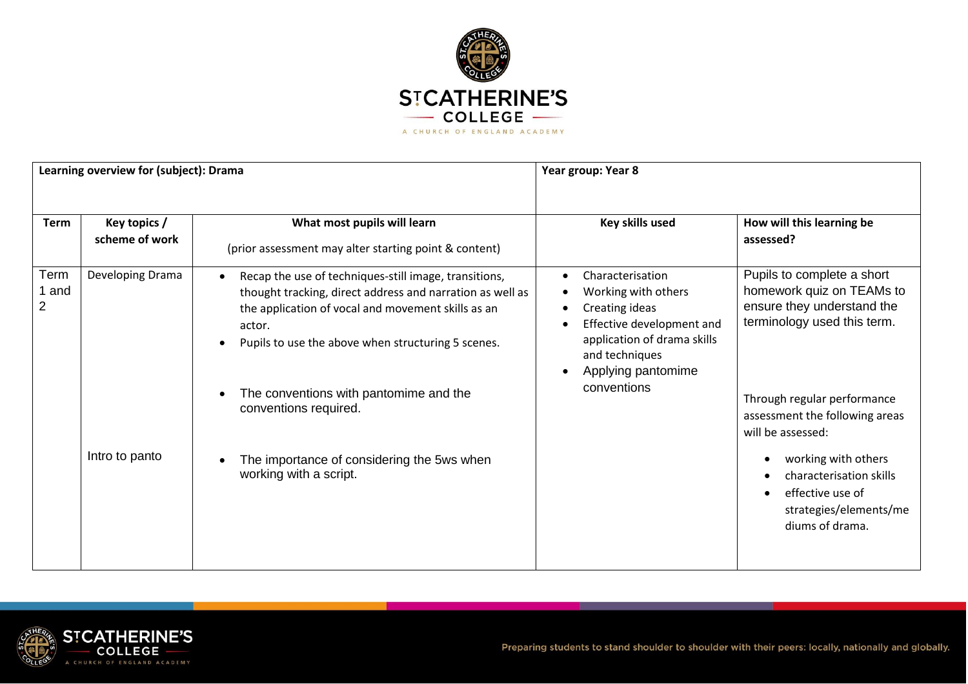

| Learning overview for (subject): Drama |                                    |                                                                                                                                                                                                                                                                                                                                                                                     | Year group: Year 8                                                                                                                                                           |                                                                                                                                                                                                                                                                                                                               |
|----------------------------------------|------------------------------------|-------------------------------------------------------------------------------------------------------------------------------------------------------------------------------------------------------------------------------------------------------------------------------------------------------------------------------------------------------------------------------------|------------------------------------------------------------------------------------------------------------------------------------------------------------------------------|-------------------------------------------------------------------------------------------------------------------------------------------------------------------------------------------------------------------------------------------------------------------------------------------------------------------------------|
|                                        |                                    |                                                                                                                                                                                                                                                                                                                                                                                     |                                                                                                                                                                              |                                                                                                                                                                                                                                                                                                                               |
| <b>Term</b>                            | Key topics /<br>scheme of work     | What most pupils will learn<br>(prior assessment may alter starting point & content)                                                                                                                                                                                                                                                                                                | Key skills used                                                                                                                                                              | How will this learning be<br>assessed?                                                                                                                                                                                                                                                                                        |
| Term<br>and<br>2                       | Developing Drama<br>Intro to panto | Recap the use of techniques-still image, transitions,<br>thought tracking, direct address and narration as well as<br>the application of vocal and movement skills as an<br>actor.<br>Pupils to use the above when structuring 5 scenes.<br>The conventions with pantomime and the<br>conventions required.<br>The importance of considering the 5ws when<br>working with a script. | Characterisation<br>Working with others<br>Creating ideas<br>Effective development and<br>application of drama skills<br>and techniques<br>Applying pantomime<br>conventions | Pupils to complete a short<br>homework quiz on TEAMs to<br>ensure they understand the<br>terminology used this term.<br>Through regular performance<br>assessment the following areas<br>will be assessed:<br>working with others<br>characterisation skills<br>effective use of<br>strategies/elements/me<br>diums of drama. |

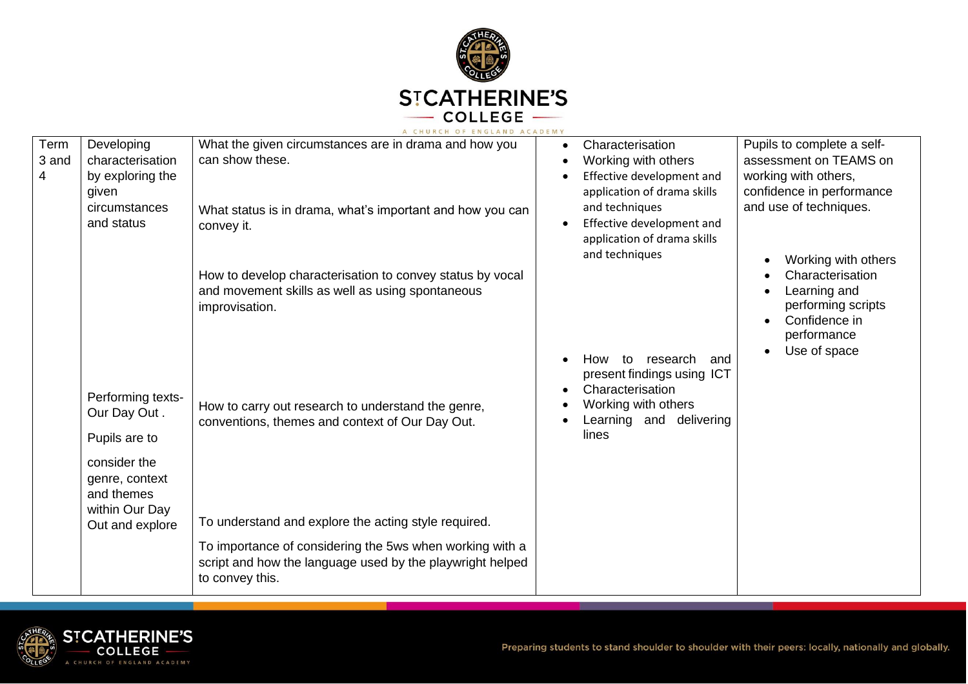

|       |                   | A CHURCH OF ENGLAND ACADEMY                               |           |                              |                                  |
|-------|-------------------|-----------------------------------------------------------|-----------|------------------------------|----------------------------------|
| Term  | Developing        | What the given circumstances are in drama and how you     | $\bullet$ | Characterisation             | Pupils to complete a self-       |
| 3 and | characterisation  | can show these.                                           | ٠         | Working with others          | assessment on TEAMS on           |
| 4     | by exploring the  |                                                           |           | Effective development and    | working with others,             |
|       | given             |                                                           |           | application of drama skills  | confidence in performance        |
|       | circumstances     | What status is in drama, what's important and how you can |           | and techniques               | and use of techniques.           |
|       | and status        | convey it.                                                | $\bullet$ | Effective development and    |                                  |
|       |                   |                                                           |           | application of drama skills  |                                  |
|       |                   |                                                           |           | and techniques               |                                  |
|       |                   |                                                           |           |                              | Working with others<br>$\bullet$ |
|       |                   | How to develop characterisation to convey status by vocal |           |                              | Characterisation                 |
|       |                   | and movement skills as well as using spontaneous          |           |                              | Learning and                     |
|       |                   | improvisation.                                            |           |                              | performing scripts               |
|       |                   |                                                           |           |                              | Confidence in                    |
|       |                   |                                                           |           |                              | performance                      |
|       |                   |                                                           |           | to<br>research<br>and<br>How | Use of space                     |
|       |                   |                                                           |           | present findings using ICT   |                                  |
|       |                   |                                                           | $\bullet$ | Characterisation             |                                  |
|       | Performing texts- | How to carry out research to understand the genre,        |           | Working with others          |                                  |
|       | Our Day Out.      |                                                           |           | Learning and delivering      |                                  |
|       | Pupils are to     | conventions, themes and context of Our Day Out.           |           | lines                        |                                  |
|       |                   |                                                           |           |                              |                                  |
|       | consider the      |                                                           |           |                              |                                  |
|       | genre, context    |                                                           |           |                              |                                  |
|       | and themes        |                                                           |           |                              |                                  |
|       | within Our Day    |                                                           |           |                              |                                  |
|       | Out and explore   | To understand and explore the acting style required.      |           |                              |                                  |
|       |                   |                                                           |           |                              |                                  |
|       |                   | To importance of considering the 5ws when working with a  |           |                              |                                  |
|       |                   | script and how the language used by the playwright helped |           |                              |                                  |
|       |                   | to convey this.                                           |           |                              |                                  |
|       |                   |                                                           |           |                              |                                  |

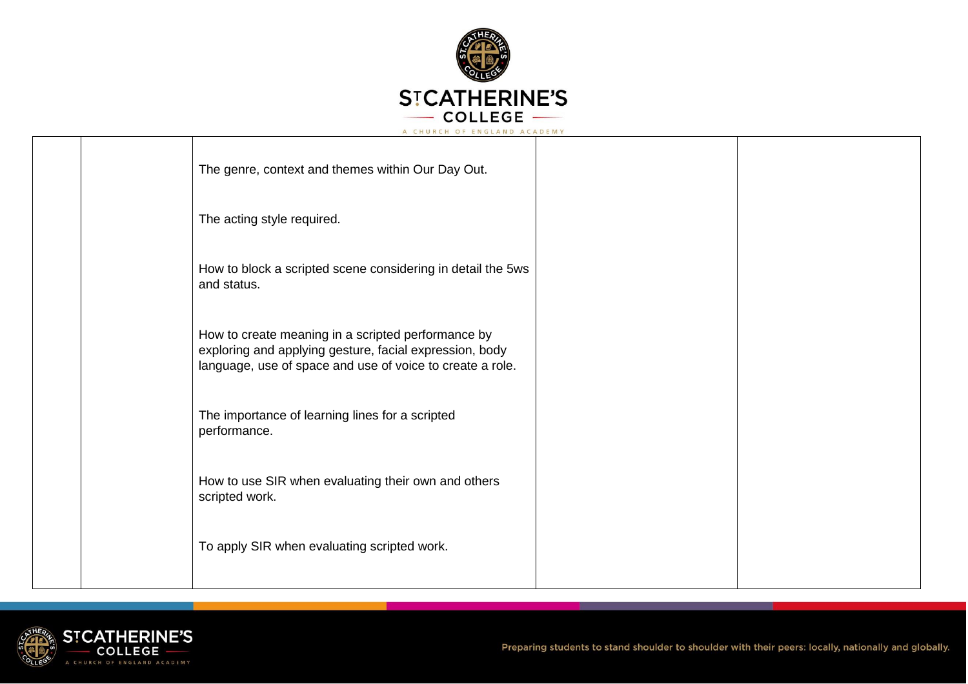

|  | The genre, context and themes within Our Day Out.                                                                                                                          |  |
|--|----------------------------------------------------------------------------------------------------------------------------------------------------------------------------|--|
|  | The acting style required.                                                                                                                                                 |  |
|  | How to block a scripted scene considering in detail the 5ws<br>and status.                                                                                                 |  |
|  | How to create meaning in a scripted performance by<br>exploring and applying gesture, facial expression, body<br>language, use of space and use of voice to create a role. |  |
|  | The importance of learning lines for a scripted<br>performance.                                                                                                            |  |
|  | How to use SIR when evaluating their own and others<br>scripted work.                                                                                                      |  |
|  | To apply SIR when evaluating scripted work.                                                                                                                                |  |